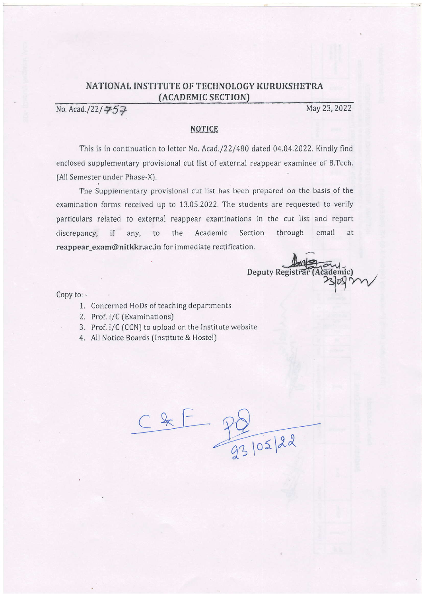## NATIONAL INSTITUTE OF TECHNOLOGY KURUKSHETRA (ACADEMIC SECTION)

No. Acad./22/ $\frac{75}{7}$ 

May 23, 2022

## **NOTICE**

This is in continuation to letter No. Acad./22/480 dated 04.04.2022. Kindly find enclosed supplementary provisional cut list of external reappear examinee of B.Tech. (All Semester under Phase-X).

The Supplementary provisional cut list has been prepared on the basis of the examination forms received up to 13.05.2022. The students are requested to verify particulars related to external reappear examinations in the cut list and report discrepancy, if any, to the Academic Section through email at reappear\_exam@nitkkr.ac.in for immediate rectification.

I Deputy Registra

Copy to: -

- 1. Concerned HoDs of teaching departments
- 2. Prof. I/C (Examinations)
- Prot.I/C (CCN) to upload on the lnstitute website 3.
- All Notice Boards (lnstitute & Hostel)

 $Ck$  $\frac{10}{93}$   $\frac{105}{22}$